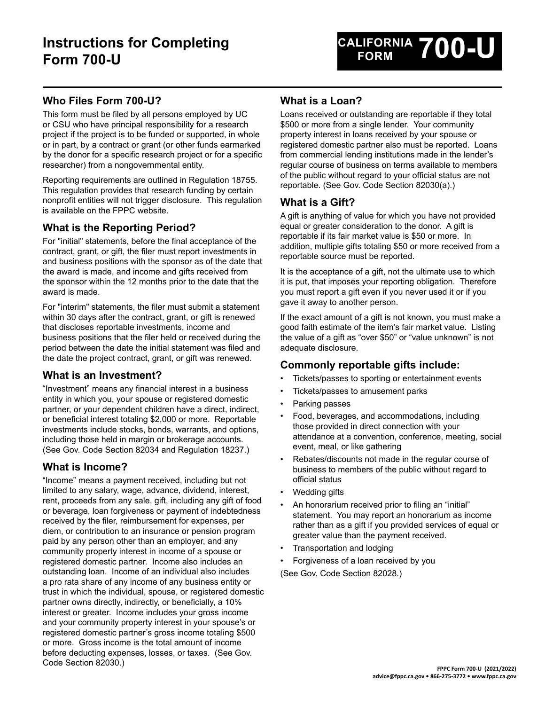# **Who Files Form 700-U?**

This form must be filed by all persons employed by UC or CSU who have principal responsibility for a research project if the project is to be funded or supported, in whole or in part, by a contract or grant (or other funds earmarked by the donor for a specific research project or for a specific researcher) from a nongovernmental entity.

Reporting requirements are outlined in Regulation 18755. This regulation provides that research funding by certain nonprofit entities will not trigger disclosure. This regulation is available on the FPPC website.

## **What is the Reporting Period?**

For "initial" statements, before the final acceptance of the contract, grant, or gift, the filer must report investments in and business positions with the sponsor as of the date tha t the award is made, and income and gifts received from the sponsor within the 12 months prior to the date that the award is made.

For "interim" statements, the filer must submit a statement within 30 days after the contract, grant, or gift is renewed that discloses reportable investments, income and business positions that the filer held or received during the period between the date the initial statement was filed and the date the project contract, grant, or gift was renewed.

#### **What is an Investment?**

"Investment" means any financial interest in a business entity in which you, your spouse or registered domestic partner, or your dependent children have a direct, indirect, or beneficial interest totaling \$2,000 or more. Reportable investments include stocks, bonds, warrants, and options, including those held in margin or brokerage accounts. (See Gov. Code Section 82034 and Regulation 18237.)

## **What is Income?**

"Income" means a payment received, including but not limited to any salary, wage, advance, dividend, interest, rent, proceeds from any sale, gift, including any gift of foo d or beverage, loan forgiveness or payment of indebtedness received by the filer, reimbursement for expenses, per diem, or contribution to an insurance or pension program paid by any person other than an employer, and any community property interest in income of a spouse or registered domestic partner. Income also includes an outstanding loan. Income of an individual also includes a pro rata share of any income of any business entity or trust in which the individual, spouse, or registered domesti c partner owns directly, indirectly, or beneficially, a 10% interest or greater. Income includes your gross income and your community property interest in your spouse's or registered domestic partner's gross income totaling \$500 or more. Gross income is the total amount of income before deducting expenses, losses, or taxes. (See Gov. Code Section 82030.)

## **What is a Loan?**

Loans received or outstanding are reportable if they total \$500 or more from a single lender. Your community property interest in loans received by your spouse or registered domestic partner also must be reported. Loans from commercial lending institutions made in the lender's regular course of business on terms available to members of the public without regard to your official status are not reportable. (See Gov. Code Section 82030(a).)

### **What is a Gift?**

A gift is anything of value for which you have not provided equal or greater consideration to the donor. A gift is reportable if its fair market value is \$50 or more. In addition, multiple gifts totaling \$50 or more received from a reportable source must be reported.

It is the acceptance of a gift, not the ultimate use to which it is put, that imposes your reporting obligation. Therefore you must report a gift even if you never used it or if you gave it away to another person.

If the exact amount of a gift is not known, you must make a good faith estimate of the item's fair market value. Listing the value of a gift as "over \$50" or "value unknown" is not adequate disclosure.

### **Commonly reportable gifts include:**

- Tickets/passes to sporting or entertainment events
- Tickets/passes to amusement parks
- Parking passes
- Food, beverages, and accommodations, including those provided in direct connection with your attendance at a convention, conference, meeting, social event, meal, or like gathering
- Rebates/discounts not made in the regular course of business to members of the public without regard to official status
- Wedding gifts
- An honorarium received prior to filing an "initial" statement. You may report an honorarium as income rather than as a gift if you provided services of equal or greater value than the payment received.
- Transportation and lodging
- Forgiveness of a loan received by you

(See Gov. Code Section 82028.)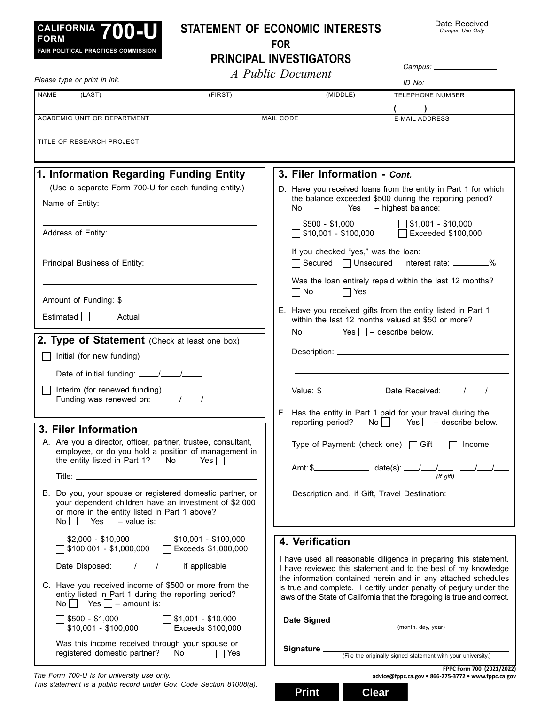

# **STATEMENT OF ECONOMIC INTERESTS**

Date Received *Campus Use Only* 

**FOR** 

| FAIR FULLIIUAL FRAUTIUES UUMMISSIUN<br><b>PRINCIPAL INVESTIGATORS</b> |                                                                                                                                                                                        |                       |                                                                                                  |                                                                                                                                     |                                                                                                                                                                                                                 |
|-----------------------------------------------------------------------|----------------------------------------------------------------------------------------------------------------------------------------------------------------------------------------|-----------------------|--------------------------------------------------------------------------------------------------|-------------------------------------------------------------------------------------------------------------------------------------|-----------------------------------------------------------------------------------------------------------------------------------------------------------------------------------------------------------------|
|                                                                       | Please type or print in ink.                                                                                                                                                           | A Public Document     |                                                                                                  |                                                                                                                                     | $ID$ No: $\qquad \qquad$                                                                                                                                                                                        |
| <b>NAME</b>                                                           | (LAST)                                                                                                                                                                                 | (FIRST)               |                                                                                                  | (MIDDLE)                                                                                                                            | <b>TELEPHONE NUMBER</b>                                                                                                                                                                                         |
|                                                                       |                                                                                                                                                                                        |                       |                                                                                                  |                                                                                                                                     |                                                                                                                                                                                                                 |
|                                                                       | ACADEMIC UNIT OR DEPARTMENT                                                                                                                                                            |                       | MAIL CODE                                                                                        |                                                                                                                                     | $($ )<br><b>E-MAIL ADDRESS</b>                                                                                                                                                                                  |
|                                                                       | TITLE OF RESEARCH PROJECT                                                                                                                                                              |                       |                                                                                                  |                                                                                                                                     |                                                                                                                                                                                                                 |
|                                                                       | 1. Information Regarding Funding Entity                                                                                                                                                |                       |                                                                                                  | 3. Filer Information - Cont.                                                                                                        |                                                                                                                                                                                                                 |
|                                                                       | (Use a separate Form 700-U for each funding entity.)<br>Name of Entity:                                                                                                                |                       |                                                                                                  | $No \frown$ Yes $\frown$ - highest balance:                                                                                         | D. Have you received loans from the entity in Part 1 for which<br>the balance exceeded \$500 during the reporting period?                                                                                       |
|                                                                       | Address of Entity:                                                                                                                                                                     |                       |                                                                                                  | \$500 - \$1,000<br>\$10,001 - \$100,000                                                                                             | $\sqrt{ }$ \$1,001 - \$10,000<br>$\Box$ Exceeded \$100,000                                                                                                                                                      |
|                                                                       | Principal Business of Entity:                                                                                                                                                          |                       |                                                                                                  | If you checked "yes," was the loan:                                                                                                 | □ Secured □ Unsecured Interest rate: ________%                                                                                                                                                                  |
|                                                                       | Amount of Funding: \$<br>Estimated    <br>Actual $\Box$                                                                                                                                |                       | $\Box$ No                                                                                        | $\Box$ Yes                                                                                                                          | Was the loan entirely repaid within the last 12 months?<br>E. Have you received gifts from the entity listed in Part 1<br>within the last 12 months valued at \$50 or more?                                     |
|                                                                       |                                                                                                                                                                                        |                       | $\begin{array}{c c c c c} \hline \text{No} & \text{Yes} & \text{--} \end{array}$ describe below. |                                                                                                                                     |                                                                                                                                                                                                                 |
|                                                                       | 2. Type of Statement (Check at least one box)<br>Initial (for new funding)                                                                                                             |                       |                                                                                                  |                                                                                                                                     |                                                                                                                                                                                                                 |
|                                                                       |                                                                                                                                                                                        |                       |                                                                                                  |                                                                                                                                     |                                                                                                                                                                                                                 |
|                                                                       | Interim (for renewed funding)                                                                                                                                                          |                       |                                                                                                  |                                                                                                                                     |                                                                                                                                                                                                                 |
|                                                                       | 3. Filer Information                                                                                                                                                                   |                       |                                                                                                  |                                                                                                                                     | F. Has the entity in Part 1 paid for your travel during the<br>reporting period? No $\Box$ - describe below.                                                                                                    |
|                                                                       | A. Are you a director, officer, partner, trustee, consultant,<br>employee, or do you hold a position of management in                                                                  |                       |                                                                                                  | Type of Payment: (check one) $\Box$ Gift                                                                                            | Income                                                                                                                                                                                                          |
|                                                                       | the entity listed in Part 1? No $\Box$ Yes $\Box$                                                                                                                                      |                       |                                                                                                  |                                                                                                                                     |                                                                                                                                                                                                                 |
|                                                                       | B. Do you, your spouse or registered domestic partner, or<br>your dependent children have an investment of \$2,000<br>or more in the entity listed in Part 1 above?                    |                       |                                                                                                  |                                                                                                                                     | Description and, if Gift, Travel Destination: __________________________________                                                                                                                                |
|                                                                       | $\begin{bmatrix} \n\end{bmatrix}$ Yes $\begin{bmatrix} \n\end{bmatrix}$ – value is:<br>$$2,000 - $10,000$<br>$$100,001 - $1,000,000$<br>$$100,001 - $1,000,000$<br>Exceeds \$1,000,000 |                       |                                                                                                  | 4. Verification                                                                                                                     |                                                                                                                                                                                                                 |
|                                                                       | Date Disposed: ____/____/____, if applicable                                                                                                                                           |                       |                                                                                                  | I have used all reasonable diligence in preparing this statement.<br>I have reviewed this statement and to the best of my knowledge |                                                                                                                                                                                                                 |
|                                                                       | C. Have you received income of \$500 or more from the<br>entity listed in Part 1 during the reporting period?<br>$No$ Yes $-$ amount is:                                               |                       |                                                                                                  |                                                                                                                                     | the information contained herein and in any attached schedules<br>is true and complete. I certify under penalty of perjury under the<br>laws of the State of California that the foregoing is true and correct. |
|                                                                       | $$500 - $1,000$<br>$$1,001 - $10,000$<br>\$10,001 - \$100,000                                                                                                                          | Exceeds \$100,000     |                                                                                                  |                                                                                                                                     |                                                                                                                                                                                                                 |
|                                                                       | Was this income received through your spouse or<br>registered domestic partner? □ No                                                                                                   | <b>Example 19 Yes</b> |                                                                                                  | Signature ___                                                                                                                       | (File the originally signed statement with your university.)                                                                                                                                                    |
|                                                                       |                                                                                                                                                                                        |                       |                                                                                                  |                                                                                                                                     | EDDC Form 700 (2021/2022)                                                                                                                                                                                       |

*The Form 700-U is for university use only. This statement is a public record under Gov. Code Section 81008(a).*  **FPPC Form 700 (2021/2022)** 

**[advice@fppc.ca.gov](mailto:advice@fppc.ca.gov) • 866-275-3772 • <www.fppc.ca.gov>** 

**Print Clear**